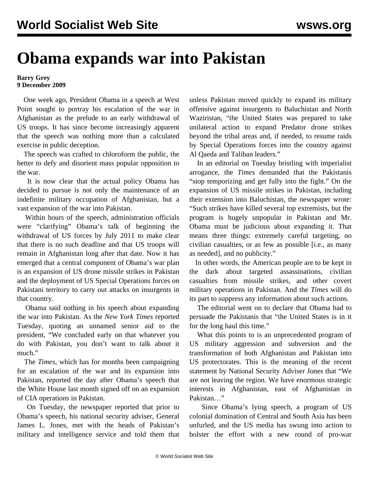## **Obama expands war into Pakistan**

## **Barry Grey 9 December 2009**

 One week ago, President Obama in a speech at West Point sought to portray his escalation of the war in Afghanistan as the prelude to an early withdrawal of US troops. It has since become increasingly apparent that the speech was nothing more than a calculated exercise in public deception.

 The speech was crafted to chloroform the public, the better to defy and disorient mass popular opposition to the war.

 It is now clear that the actual policy Obama has decided to pursue is not only the maintenance of an indefinite military occupation of Afghanistan, but a vast expansion of the war into Pakistan.

 Within hours of the speech, administration officials were "clarifying" Obama's talk of beginning the withdrawal of US forces by July 2011 to make clear that there is no such deadline and that US troops will remain in Afghanistan long after that date. Now it has emerged that a central component of Obama's war plan is an expansion of US drone missile strikes in Pakistan and the deployment of US Special Operations forces on Pakistani territory to carry out attacks on insurgents in that country.

 Obama said nothing in his speech about expanding the war into Pakistan. As the *New York Times* reported Tuesday, quoting an unnamed senior aid to the president, "We concluded early on that whatever you do with Pakistan, you don't want to talk about it much."

 The *Times*, which has for months been campaigning for an escalation of the war and its expansion into Pakistan, reported the day after Obama's speech that the White House last month signed off on an expansion of CIA operations in Pakistan.

 On Tuesday, the newspaper reported that prior to Obama's speech, his national security adviser, General James L. Jones, met with the heads of Pakistan's military and intelligence service and told them that unless Pakistan moved quickly to expand its military offensive against insurgents to Baluchistan and North Waziristan, "the United States was prepared to take unilateral action to expand Predator drone strikes beyond the tribal areas and, if needed, to resume raids by Special Operations forces into the country against Al Qaeda and Taliban leaders."

 In an editorial on Tuesday bristling with imperialist arrogance, the *Times* demanded that the Pakistanis "stop temporizing and get fully into the fight." On the expansion of US missile strikes in Pakistan, including their extension into Baluchistan, the newspaper wrote: "Such strikes have killed several top extremists, but the program is hugely unpopular in Pakistan and Mr. Obama must be judicious about expanding it. That means three things: extremely careful targeting, no civilian casualties, or as few as possible [i.e., as many as needed], and no publicity."

 In other words, the American people are to be kept in the dark about targeted assassinations, civilian casualties from missile strikes, and other covert military operations in Pakistan. And the *Times* will do its part to suppress any information about such actions.

 The editorial went on to declare that Obama had to persuade the Pakistanis that "the United States is in it for the long haul this time."

 What this points to is an unprecedented program of US military aggression and subversion and the transformation of both Afghanistan and Pakistan into US protectorates. This is the meaning of the recent statement by National Security Adviser Jones that "We are not leaving the region. We have enormous strategic interests in Afghanistan, east of Afghanistan in Pakistan…"

 Since Obama's lying speech, a program of US colonial domination of Central and South Asia has been unfurled, and the US media has swung into action to bolster the effort with a new round of pro-war